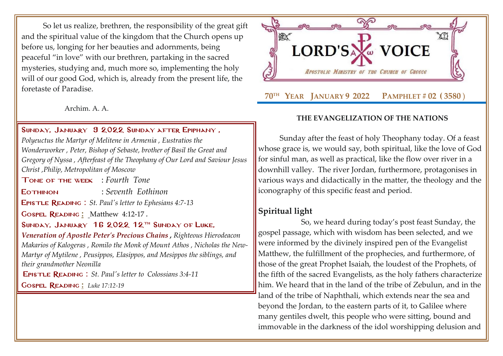So let us realize, brethren, the responsibility of the great gift and the spiritual value of the kingdom that the Church opens up before us, longing for her beauties and adornments, being peaceful "in love" with our brethren, partaking in the sacred mysteries, studying and, much more so, implementing the holy will of our good God, which is, already from the present life, the foretaste of Paradise.

Archim. A. A.

#### Sunday, January 9 2022 [Sunday after](http://www.goarch.org/chapel/saints?contentid=1164&PCode=SBE&D=S&date=01/02/2022) Epiphany ,

*[Polyeuctus the Martyr of Melitene in Armenia](http://www.goarch.org/chapel/saints?contentid=378) , Eustratios the Wonderworker , Peter, Bishop of Sebaste, brother of Basil the Great and Gregory of Nyssa , [Afterfeast of the Theophany of Our Lord and Saviour Jesus](http://www.goarch.org/chapel/saints?contentid=793)  [Christ](http://www.goarch.org/chapel/saints?contentid=793) [,Philip, Metropolitan of Moscow](http://www.goarch.org/chapel/saints?contentid=2460)*

Tone of the week : *Fourth Tone*

Eothinon : *Seventh Eothinon*

Epistle Reading : *St. Paul's letter to [Ephesians 4:7-13](http://www.goarch.org/chapel/lectionary?type=E&code=194&event=1161&date=01/09/2022)*

Gospel Reading **[:](http://www.goarch.org/chapel/lectionary?type=G&code=362&event=218)** [Matthew 4:12-17](http://www.goarch.org/chapel/lectionary?type=G&code=196&event=911) *.*

SUNDAY, JANUARY 16 2022 12<sup>TH</sup> SUNDAY OF LUKE,

*[Veneration of Apostle Peter's Precious Chains](http://www.goarch.org/chapel/saints?contentid=388) , Righteous Hierodeacon Makarios of Kalogeras , Romilo the Monk of Mount Athos , Nicholas the New-Martyr of Mytilene , Peusippos, Elasippos, and Mesippos the siblings, and their grandmother Neonilla*

Epistle Reading : *[St. Paul's letter to](http://www.goarch.org/chapel/lectionary?type=E&code=110&event=291&date=11/14/2021) [Colossians 3:4-11](http://www.goarch.org/chapel/lectionary?type=E&code=110&event=291&date=11/14/2021)*

Gospel Reading **[:](http://www.goarch.org/chapel/lectionary?type=G&code=362&event=218)** *[Luke 17:12-19](http://www.goarch.org/chapel/lectionary?type=G&code=245&event=1125)*



#### **THE EVANGELIZATION OF THE NATIONS**

Sunday after the feast of holy Theophany today. Of a feast whose grace is, we would say, both spiritual, like the love of God for sinful man, as well as practical, like the flow over river in a downhill valley. The river Jordan, furthermore, protagonises in various ways and didactically in the matter, the theology and the iconography of this specific feast and period.

# **Spiritual light**

So, we heard during today's post feast Sunday, the gospel passage, which with wisdom has been selected, and we were informed by the divinely inspired pen of the Evangelist Matthew, the fulfillment of the prophecies, and furthermore, of those of the great Prophet Isaiah, the loudest of the Prophets, of the fifth of the sacred Evangelists, as the holy fathers characterize him. We heard that in the land of the tribe of Zebulun, and in the land of the tribe of Naphthali, which extends near the sea and beyond the Jordan, to the eastern parts of it, to Galilee where many gentiles dwelt, this people who were sitting, bound and immovable in the darkness of the idol worshipping delusion and